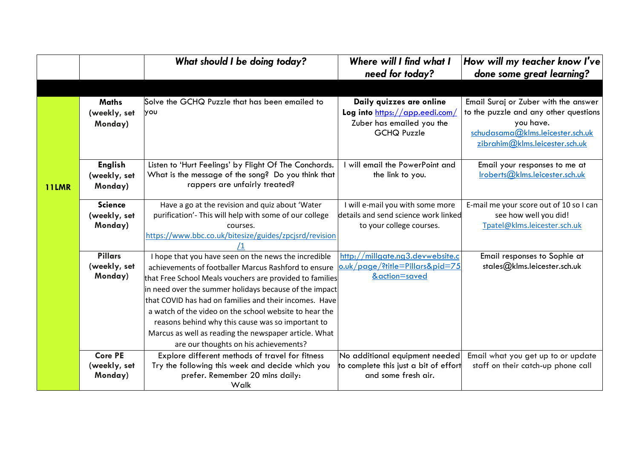|              |                                           | What should I be doing today?                                                                                                                                                                                                                                                                                                                                                                                                                                                                                 | Where will I find what I<br>need for today?                                                                   | How will my teacher know I've<br>done some great learning?                                                                                                       |
|--------------|-------------------------------------------|---------------------------------------------------------------------------------------------------------------------------------------------------------------------------------------------------------------------------------------------------------------------------------------------------------------------------------------------------------------------------------------------------------------------------------------------------------------------------------------------------------------|---------------------------------------------------------------------------------------------------------------|------------------------------------------------------------------------------------------------------------------------------------------------------------------|
|              |                                           |                                                                                                                                                                                                                                                                                                                                                                                                                                                                                                               |                                                                                                               |                                                                                                                                                                  |
|              | <b>Maths</b><br>(weekly, set<br>Monday)   | Solve the GCHQ Puzzle that has been emailed to<br>you                                                                                                                                                                                                                                                                                                                                                                                                                                                         | Daily quizzes are online<br>Log into https://app.eedi.com/<br>Zuber has emailed you the<br><b>GCHQ Puzzle</b> | Email Suraj or Zuber with the answer<br>to the puzzle and any other questions<br>you have.<br>schudasama@klms.leicester.sch.uk<br>zibrahim@klms.leicester.sch.uk |
| <b>11LMR</b> | <b>English</b><br>(weekly, set<br>Monday) | Listen to 'Hurt Feelings' by Flight Of The Conchords.<br>What is the message of the song? Do you think that<br>rappers are unfairly treated?                                                                                                                                                                                                                                                                                                                                                                  | will email the PowerPoint and<br>the link to you.                                                             | Email your responses to me at<br>Iroberts@klms.leicester.sch.uk                                                                                                  |
|              | <b>Science</b><br>(weekly, set<br>Monday) | Have a go at the revision and quiz about 'Water<br>purification'- This will help with some of our college<br>courses.<br>https://www.bbc.co.uk/bitesize/guides/zpcjsrd/revision                                                                                                                                                                                                                                                                                                                               | I will e-mail you with some more<br>details and send science work linked<br>to your college courses.          | E-mail me your score out of 10 so I can<br>see how well you did!<br>Tpatel@klms.leicester.sch.uk                                                                 |
|              | <b>Pillars</b><br>(weekly, set<br>Monday) | I hope that you have seen on the news the incredible<br>achievements of footballer Marcus Rashford to ensure<br>that Free School Meals vouchers are provided to families<br>in need over the summer holidays because of the impact<br>that COVID has had on families and their incomes. Have<br>a watch of the video on the school website to hear the<br>reasons behind why this cause was so important to<br>Marcus as well as reading the newspaper article. What<br>are our thoughts on his achievements? | http://millgate.ng3.devwebsite.c<br>o.uk/page/?title=Pillars&pid=75<br>&action=saved                          | Email responses to Sophie at<br>stales@klms.leicester.sch.uk                                                                                                     |
|              | <b>Core PE</b><br>(weekly, set<br>Monday) | Explore different methods of travel for fitness<br>Try the following this week and decide which you<br>prefer. Remember 20 mins daily:<br>Walk                                                                                                                                                                                                                                                                                                                                                                | No additional equipment needed<br>to complete this just a bit of effort<br>and some fresh air.                | Email what you get up to or update<br>staff on their catch-up phone call                                                                                         |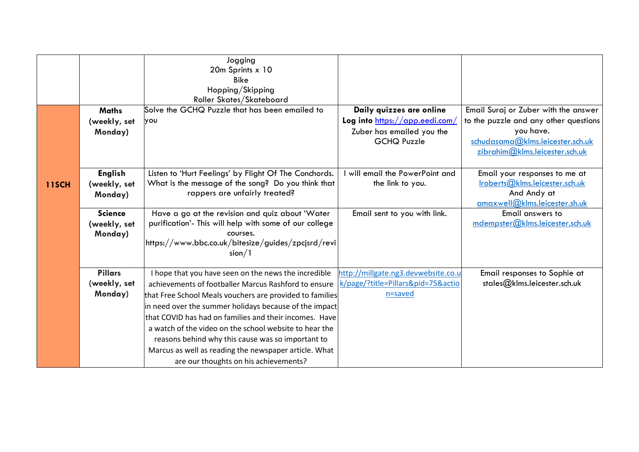|              |                                           | Jogging<br>20m Sprints x 10<br><b>Bike</b><br>Hopping/Skipping<br>Roller Skates/Skateboard                                                                                                                                                                                                                                                                                                                                                                           |                                                                                                               |                                                                                                                                                                  |
|--------------|-------------------------------------------|----------------------------------------------------------------------------------------------------------------------------------------------------------------------------------------------------------------------------------------------------------------------------------------------------------------------------------------------------------------------------------------------------------------------------------------------------------------------|---------------------------------------------------------------------------------------------------------------|------------------------------------------------------------------------------------------------------------------------------------------------------------------|
|              | <b>Maths</b><br>(weekly, set<br>Monday)   | Solve the GCHQ Puzzle that has been emailed to<br>γου                                                                                                                                                                                                                                                                                                                                                                                                                | Daily quizzes are online<br>Log into https://app.eedi.com/<br>Zuber has emailed you the<br><b>GCHQ Puzzle</b> | Email Suraj or Zuber with the answer<br>to the puzzle and any other questions<br>you have.<br>schudasama@klms.leicester.sch.uk<br>zibrahim@klms.leicester.sch.uk |
| <b>11SCH</b> | <b>English</b><br>(weekly, set<br>Monday) | Listen to 'Hurt Feelings' by Flight Of The Conchords.<br>What is the message of the song? Do you think that<br>rappers are unfairly treated?                                                                                                                                                                                                                                                                                                                         | will email the PowerPoint and<br>the link to you.                                                             | Email your responses to me at<br>Iroberts@klms.leicester.sch.uk<br>And Andy at<br>amaxwell@klms.leicester.sh.uk                                                  |
|              | <b>Science</b><br>(weekly, set<br>Monday) | Have a go at the revision and quiz about 'Water<br>purification'- This will help with some of our college<br>courses.<br>https://www.bbc.co.uk/bitesize/guides/zpcjsrd/revi<br>sion/1                                                                                                                                                                                                                                                                                | Email sent to you with link.                                                                                  | Email answers to<br>mdempster@klms.leicester.sch.uk                                                                                                              |
|              | <b>Pillars</b><br>(weekly, set<br>Monday) | I hope that you have seen on the news the incredible<br>achievements of footballer Marcus Rashford to ensure<br>that Free School Meals vouchers are provided to families<br>in need over the summer holidays because of the impact<br>that COVID has had on families and their incomes. Have<br>a watch of the video on the school website to hear the<br>reasons behind why this cause was so important to<br>Marcus as well as reading the newspaper article. What | http://millgate.ng3.devwebsite.co.u<br>k/page/?title=Pillars&pid=75&actio<br>n=saved                          | Email responses to Sophie at<br>stales@klms.leicester.sch.uk                                                                                                     |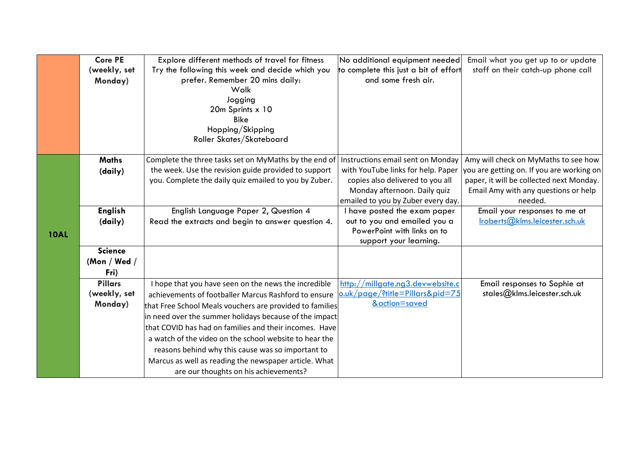|             | <b>Core PE</b> | Explore different methods of travel for fitness          | No additional equipment needed        | Email what you get up to or update        |
|-------------|----------------|----------------------------------------------------------|---------------------------------------|-------------------------------------------|
|             | (weekly, set   | Try the following this week and decide which you         | to complete this just a bit of effort | staff on their catch-up phone call        |
|             | Monday)        | prefer. Remember 20 mins daily:                          | and some fresh air.                   |                                           |
|             |                | Walk                                                     |                                       |                                           |
|             |                | Jogging                                                  |                                       |                                           |
|             |                | 20m Sprints x 10                                         |                                       |                                           |
|             |                | <b>Bike</b>                                              |                                       |                                           |
|             |                | Hopping/Skipping                                         |                                       |                                           |
|             |                | Roller Skates/Skateboard                                 |                                       |                                           |
|             | <b>Maths</b>   | Complete the three tasks set on MyMaths by the end of    | Instructions email sent on Monday     | Amy will check on MyMaths to see how      |
|             | (daily)        | the week. Use the revision guide provided to support     | with YouTube links for help. Paper    | you are getting on. If you are working on |
|             |                | you. Complete the daily quiz emailed to you by Zuber.    | copies also delivered to you all      | paper, it will be collected next Monday.  |
|             |                |                                                          | Monday afternoon. Daily quiz          | Email Amy with any questions or help      |
|             |                |                                                          | emailed to you by Zuber every day.    | needed.                                   |
|             | <b>English</b> | English Language Paper 2, Question 4                     | I have posted the exam paper          | Email your responses to me at             |
|             | (daily)        | Read the extracts and begin to answer question 4.        | out to you and emailed you a          | Iroberts@klms.leicester.sch.uk            |
| <b>10AL</b> |                |                                                          | PowerPoint with links on to           |                                           |
|             |                |                                                          | support your learning.                |                                           |
|             | <b>Science</b> |                                                          |                                       |                                           |
|             | (Mon / Wed $/$ |                                                          |                                       |                                           |
|             | Fri)           |                                                          |                                       |                                           |
|             | <b>Pillars</b> | I hope that you have seen on the news the incredible     | http://millgate.ng3.devwebsite.c      | Email responses to Sophie at              |
|             | (weekly, set   | achievements of footballer Marcus Rashford to ensure     | o.uk/page/?title=Pillars&pid=75       | stales@klms.leicester.sch.uk              |
|             | Monday)        | that Free School Meals vouchers are provided to families | &action=saved                         |                                           |
|             |                | in need over the summer holidays because of the impact   |                                       |                                           |
|             |                | that COVID has had on families and their incomes. Have   |                                       |                                           |
|             |                | a watch of the video on the school website to hear the   |                                       |                                           |
|             |                | reasons behind why this cause was so important to        |                                       |                                           |
|             |                | Marcus as well as reading the newspaper article. What    |                                       |                                           |
|             |                | are our thoughts on his achievements?                    |                                       |                                           |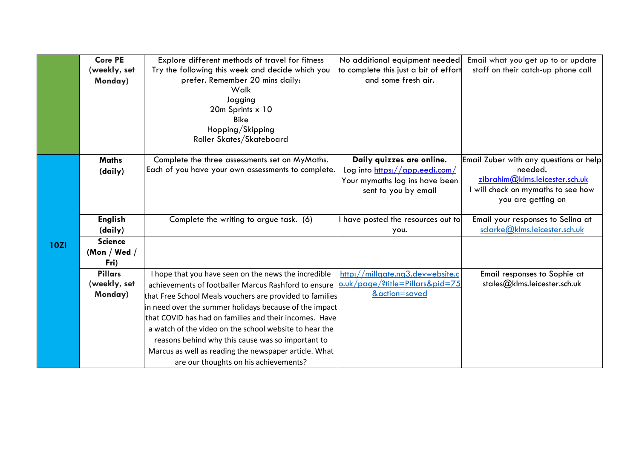|             | <b>Core PE</b> | Explore different methods of travel for fitness          | No additional equipment needed        | Email what you get up to or update     |
|-------------|----------------|----------------------------------------------------------|---------------------------------------|----------------------------------------|
|             | (weekly, set   | Try the following this week and decide which you         | to complete this just a bit of effort | staff on their catch-up phone call     |
|             | Monday)        | prefer. Remember 20 mins daily:                          | and some fresh air.                   |                                        |
|             |                | Walk                                                     |                                       |                                        |
|             |                | Jogging                                                  |                                       |                                        |
|             |                | 20m Sprints x 10                                         |                                       |                                        |
|             |                | <b>Bike</b>                                              |                                       |                                        |
|             |                | Hopping/Skipping                                         |                                       |                                        |
|             |                | Roller Skates/Skateboard                                 |                                       |                                        |
|             | <b>Maths</b>   | Complete the three assessments set on MyMaths.           | Daily quizzes are online.             | Email Zuber with any questions or help |
|             |                | Each of you have your own assessments to complete.       | Log into https://app.eedi.com/        | needed.                                |
|             | (daily)        |                                                          | Your mymaths log ins have been        | zibrahim@klms.leicester.sch.uk         |
|             |                |                                                          | sent to you by email                  | I will check on mymaths to see how     |
|             |                |                                                          |                                       | you are getting on                     |
|             |                |                                                          |                                       |                                        |
|             | <b>English</b> | Complete the writing to argue task. (6)                  | I have posted the resources out to    | Email your responses to Selina at      |
|             | (daily)        |                                                          | you.                                  | sclarke@klms.leicester.sch.uk          |
| <b>10ZI</b> | <b>Science</b> |                                                          |                                       |                                        |
|             | (Mon / Wed /   |                                                          |                                       |                                        |
|             | Fri)           |                                                          |                                       |                                        |
|             | <b>Pillars</b> | I hope that you have seen on the news the incredible     | http://millgate.ng3.devwebsite.c      | Email responses to Sophie at           |
|             | (weekly, set   | achievements of footballer Marcus Rashford to ensure     | o.uk/page/?title=Pillars&pid=75       | stales@klms.leicester.sch.uk           |
|             | Monday)        | that Free School Meals vouchers are provided to families | &action=saved                         |                                        |
|             |                | in need over the summer holidays because of the impact   |                                       |                                        |
|             |                | that COVID has had on families and their incomes. Have   |                                       |                                        |
|             |                | a watch of the video on the school website to hear the   |                                       |                                        |
|             |                | reasons behind why this cause was so important to        |                                       |                                        |
|             |                | Marcus as well as reading the newspaper article. What    |                                       |                                        |
|             |                | are our thoughts on his achievements?                    |                                       |                                        |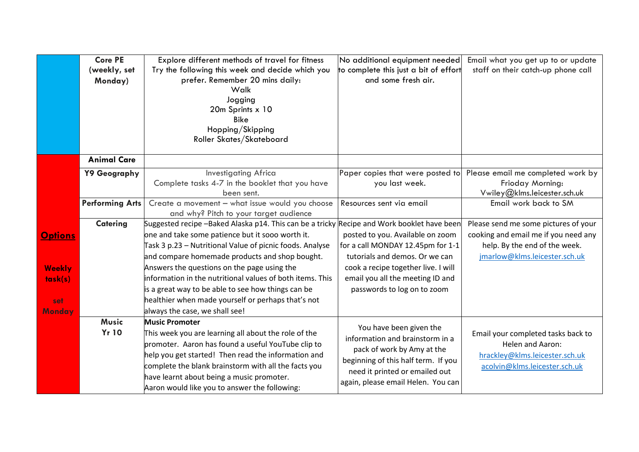|                | <b>Core PE</b><br>(weekly, set<br>Monday) | Explore different methods of travel for fitness<br>Try the following this week and decide which you<br>prefer. Remember 20 mins daily:<br>Walk<br>Jogging<br>20m Sprints x 10<br><b>Bike</b><br>Hopping/Skipping<br>Roller Skates/Skateboard | No additional equipment needed<br>to complete this just a bit of effort<br>and some fresh air. | Email what you get up to or update<br>staff on their catch-up phone call |
|----------------|-------------------------------------------|----------------------------------------------------------------------------------------------------------------------------------------------------------------------------------------------------------------------------------------------|------------------------------------------------------------------------------------------------|--------------------------------------------------------------------------|
|                | <b>Animal Care</b>                        |                                                                                                                                                                                                                                              |                                                                                                |                                                                          |
|                | Y9 Geography                              | <b>Investigating Africa</b>                                                                                                                                                                                                                  | Paper copies that were posted to                                                               | Please email me completed work by                                        |
|                |                                           | Complete tasks 4-7 in the booklet that you have<br>been sent.                                                                                                                                                                                | you last week.                                                                                 | Frioday Morning:<br>Vwiley@klms.leicester.sch.uk                         |
|                | <b>Performing Arts</b>                    | Create a movement - what issue would you choose                                                                                                                                                                                              | Resources sent via email                                                                       | Email work back to SM                                                    |
|                |                                           | and why? Pitch to your target audience                                                                                                                                                                                                       |                                                                                                |                                                                          |
|                | Catering                                  | Suggested recipe -Baked Alaska p14. This can be a tricky Recipe and Work booklet have been                                                                                                                                                   |                                                                                                | Please send me some pictures of your                                     |
| <b>Options</b> |                                           | one and take some patience but it sooo worth it.                                                                                                                                                                                             | posted to you. Available on zoom                                                               | cooking and email me if you need any                                     |
|                |                                           | Task 3 p.23 - Nutritional Value of picnic foods. Analyse                                                                                                                                                                                     | for a call MONDAY 12.45pm for 1-1                                                              | help. By the end of the week.                                            |
|                |                                           | and compare homemade products and shop bought.                                                                                                                                                                                               | tutorials and demos. Or we can                                                                 | jmarlow@klms.leicester.sch.uk                                            |
| <b>Weekly</b>  |                                           | Answers the questions on the page using the                                                                                                                                                                                                  | cook a recipe together live. I will                                                            |                                                                          |
| task(s)        |                                           | information in the nutritional values of both items. This                                                                                                                                                                                    | email you all the meeting ID and                                                               |                                                                          |
|                |                                           | is a great way to be able to see how things can be                                                                                                                                                                                           | passwords to log on to zoom                                                                    |                                                                          |
| set            |                                           | healthier when made yourself or perhaps that's not                                                                                                                                                                                           |                                                                                                |                                                                          |
| <b>Monday</b>  |                                           | always the case, we shall see!                                                                                                                                                                                                               |                                                                                                |                                                                          |
|                | <b>Music</b>                              | <b>Music Promoter</b>                                                                                                                                                                                                                        | You have been given the                                                                        |                                                                          |
|                | <b>Yr 10</b>                              | This week you are learning all about the role of the                                                                                                                                                                                         | information and brainstorm in a                                                                | Email your completed tasks back to                                       |
|                |                                           | promoter. Aaron has found a useful YouTube clip to                                                                                                                                                                                           | pack of work by Amy at the                                                                     | Helen and Aaron:                                                         |
|                |                                           | help you get started! Then read the information and                                                                                                                                                                                          | beginning of this half term. If you                                                            | hrackley@klms.leicester.sch.uk                                           |
|                |                                           | complete the blank brainstorm with all the facts you                                                                                                                                                                                         | need it printed or emailed out                                                                 | acolvin@klms.leicester.sch.uk                                            |
|                |                                           | have learnt about being a music promoter.                                                                                                                                                                                                    | again, please email Helen. You can                                                             |                                                                          |
|                |                                           | Aaron would like you to answer the following:                                                                                                                                                                                                |                                                                                                |                                                                          |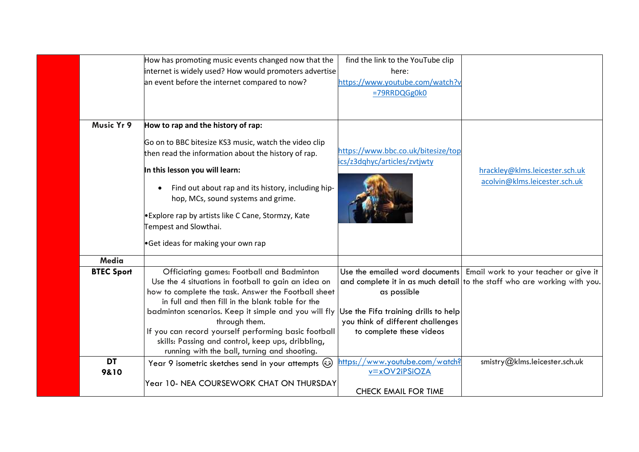|                   | How has promoting music events changed now that the<br>internet is widely used? How would promoters advertise<br>an event before the internet compared to now?                                              | find the link to the YouTube clip<br>here:<br>https://www.youtube.com/watch?v<br>=79RRDQGg0k0 |                                                                                                                                                  |
|-------------------|-------------------------------------------------------------------------------------------------------------------------------------------------------------------------------------------------------------|-----------------------------------------------------------------------------------------------|--------------------------------------------------------------------------------------------------------------------------------------------------|
|                   |                                                                                                                                                                                                             |                                                                                               |                                                                                                                                                  |
| Music Yr 9        | How to rap and the history of rap:                                                                                                                                                                          |                                                                                               |                                                                                                                                                  |
|                   | Go on to BBC bitesize KS3 music, watch the video clip<br>then read the information about the history of rap.                                                                                                | https://www.bbc.co.uk/bitesize/top                                                            |                                                                                                                                                  |
|                   | In this lesson you will learn:                                                                                                                                                                              | ics/z3dqhyc/articles/zvtjwty                                                                  | hrackley@klms.leicester.sch.uk                                                                                                                   |
|                   | Find out about rap and its history, including hip-<br>hop, MCs, sound systems and grime.                                                                                                                    |                                                                                               | acolvin@klms.leicester.sch.uk                                                                                                                    |
|                   | •Explore rap by artists like C Cane, Stormzy, Kate<br>Tempest and Slowthai.                                                                                                                                 |                                                                                               |                                                                                                                                                  |
|                   | Get ideas for making your own rap                                                                                                                                                                           |                                                                                               |                                                                                                                                                  |
| Media             |                                                                                                                                                                                                             |                                                                                               |                                                                                                                                                  |
| <b>BTEC Sport</b> | Officiating games: Football and Badminton<br>Use the 4 situations in football to gain an idea on<br>how to complete the task. Answer the Football sheet<br>in full and then fill in the blank table for the | as possible                                                                                   | Use the emailed word documents Email work to your teacher or give it<br>and complete it in as much detail to the staff who are working with you. |
|                   | badminton scenarios. Keep it simple and you will fly Use the Fifa training drills to help<br>through them.                                                                                                  | you think of different challenges                                                             |                                                                                                                                                  |
|                   | If you can record yourself performing basic football<br>skills: Passing and control, keep ups, dribbling,<br>running with the ball, turning and shooting.                                                   | to complete these videos                                                                      |                                                                                                                                                  |
| <b>DT</b><br>9&10 | Year 9 isometric sketches send in your attempts (3)                                                                                                                                                         | /www.youtube.com/watch?<br>https:/<br>$v = x$ OV2iPSiOZA                                      | smistry@klms.leicester.sch.uk                                                                                                                    |
|                   | Year 10- NEA COURSEWORK CHAT ON THURSDAY                                                                                                                                                                    | <b>CHECK EMAIL FOR TIME</b>                                                                   |                                                                                                                                                  |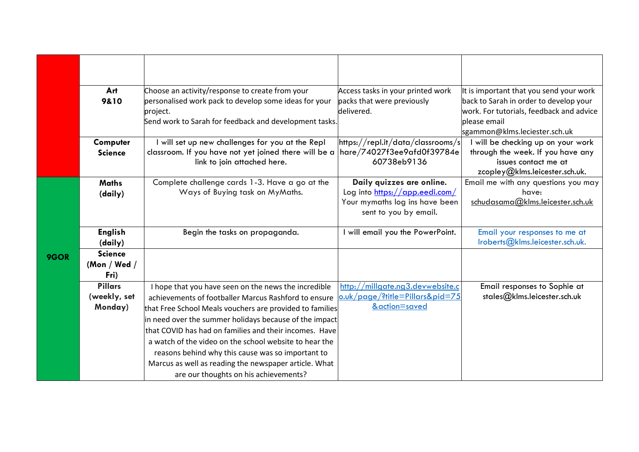|      | Art            | Choose an activity/response to create from your          | Access tasks in your printed work | It is important that you send your work  |
|------|----------------|----------------------------------------------------------|-----------------------------------|------------------------------------------|
|      | 9&10           | personalised work pack to develop some ideas for your    | packs that were previously        | back to Sarah in order to develop your   |
|      |                | project.                                                 | delivered.                        | work. For tutorials, feedback and advice |
|      |                | Send work to Sarah for feedback and development tasks.   |                                   | please email                             |
|      |                |                                                          |                                   | sgammon@klms.leciester.sch.uk            |
|      | Computer       | will set up new challenges for you at the Repl           | https://repl.it/data/classrooms/s | I will be checking up on your work       |
|      | <b>Science</b> | classroom. If you have not yet joined there will be a    | hare/74027f3ee9afd0f39784e        | through the week. If you have any        |
|      |                | link to join attached here.                              | 60738eb9136                       | issues contact me at                     |
|      |                |                                                          |                                   | zcopley@klms.leicester.sch.uk.           |
|      | <b>Maths</b>   | Complete challenge cards 1-3. Have a go at the           | Daily quizzes are online.         | Email me with any questions you may      |
|      | (daily)        | Ways of Buying task on MyMaths.                          | Log into https://app.eedi.com/    | have:                                    |
|      |                |                                                          | Your mymaths log ins have been    | schudasama@klms.leicester.sch.uk         |
|      |                |                                                          | sent to you by email.             |                                          |
|      |                |                                                          |                                   |                                          |
|      | <b>English</b> | Begin the tasks on propaganda.                           | I will email you the PowerPoint.  | Email your responses to me at            |
|      | (daily)        |                                                          |                                   | Iroberts@klms.leicester.sch.uk.          |
| 9GOR | <b>Science</b> |                                                          |                                   |                                          |
|      | (Mon / Wed /   |                                                          |                                   |                                          |
|      | Fri)           |                                                          |                                   |                                          |
|      | <b>Pillars</b> | I hope that you have seen on the news the incredible     | http://millgate.ng3.devwebsite.c  | Email responses to Sophie at             |
|      | (weekly, set   | achievements of footballer Marcus Rashford to ensure     | o.uk/page/?title=Pillars&pid=75   | stales@klms.leicester.sch.uk             |
|      | Monday)        | that Free School Meals vouchers are provided to families | &action=saved                     |                                          |
|      |                | in need over the summer holidays because of the impact   |                                   |                                          |
|      |                | that COVID has had on families and their incomes. Have   |                                   |                                          |
|      |                | a watch of the video on the school website to hear the   |                                   |                                          |
|      |                | reasons behind why this cause was so important to        |                                   |                                          |
|      |                | Marcus as well as reading the newspaper article. What    |                                   |                                          |
|      |                | are our thoughts on his achievements?                    |                                   |                                          |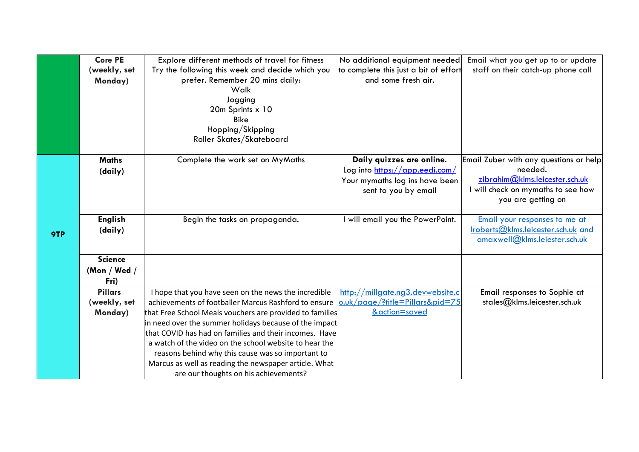|     | <b>Core PE</b> | Explore different methods of travel for fitness          | No additional equipment needed        | Email what you get up to or update     |
|-----|----------------|----------------------------------------------------------|---------------------------------------|----------------------------------------|
|     | (weekly, set   | Try the following this week and decide which you         | to complete this just a bit of effort | staff on their catch-up phone call     |
|     | Monday)        | prefer. Remember 20 mins daily:                          | and some fresh air.                   |                                        |
|     |                | Walk                                                     |                                       |                                        |
|     |                | Jogging                                                  |                                       |                                        |
|     |                | 20m Sprints x 10                                         |                                       |                                        |
|     |                | <b>Bike</b>                                              |                                       |                                        |
|     |                | Hopping/Skipping                                         |                                       |                                        |
|     |                | Roller Skates/Skateboard                                 |                                       |                                        |
|     |                |                                                          |                                       |                                        |
|     | <b>Maths</b>   | Complete the work set on MyMaths                         | Daily quizzes are online.             | Email Zuber with any questions or help |
|     | (daily)        |                                                          | Log into https://app.eedi.com/        | needed.                                |
|     |                |                                                          | Your mymaths log ins have been        | zibrahim@klms.leicester.sch.uk         |
|     |                |                                                          | sent to you by email                  | will check on mymaths to see how       |
|     |                |                                                          |                                       | you are getting on                     |
|     | <b>English</b> | Begin the tasks on propaganda.                           | I will email you the PowerPoint.      | Email your responses to me at          |
|     | (daily)        |                                                          |                                       | Iroberts@klms.leicester.sch.uk and     |
| 9TP |                |                                                          |                                       | amaxwell@klms.leiester.sch.uk          |
|     |                |                                                          |                                       |                                        |
|     | <b>Science</b> |                                                          |                                       |                                        |
|     | (Mon / Wed /   |                                                          |                                       |                                        |
|     | Fri)           |                                                          |                                       |                                        |
|     | <b>Pillars</b> | I hope that you have seen on the news the incredible     | http://millgate.ng3.devwebsite.c      | Email responses to Sophie at           |
|     | (weekly, set   | achievements of footballer Marcus Rashford to ensure     | o.uk/page/?title=Pillars&pid=75       | stales@klms.leicester.sch.uk           |
|     | Monday)        | that Free School Meals vouchers are provided to families | &action=saved                         |                                        |
|     |                | in need over the summer holidays because of the impact   |                                       |                                        |
|     |                | that COVID has had on families and their incomes. Have   |                                       |                                        |
|     |                | a watch of the video on the school website to hear the   |                                       |                                        |
|     |                | reasons behind why this cause was so important to        |                                       |                                        |
|     |                | Marcus as well as reading the newspaper article. What    |                                       |                                        |
|     |                | are our thoughts on his achievements?                    |                                       |                                        |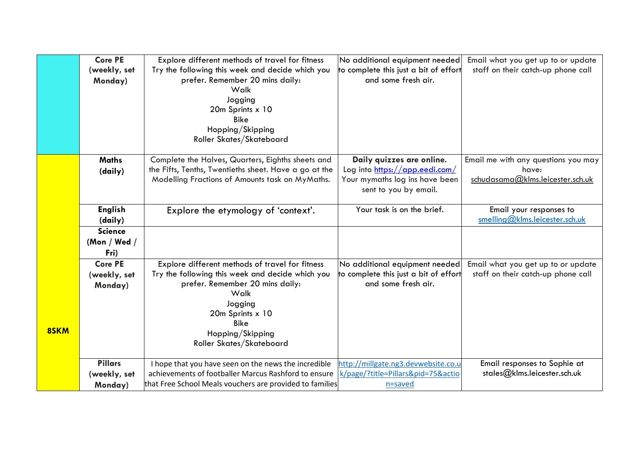|      | <b>Core PE</b><br>(weekly, set<br>Monday) | Explore different methods of travel for fitness<br>Try the following this week and decide which you<br>prefer. Remember 20 mins daily:<br>Walk<br>Jogging<br>20m Sprints x 10<br><b>Bike</b><br>Hopping/Skipping<br>Roller Skates/Skateboard | No additional equipment needed<br>to complete this just a bit of effort<br>and some fresh air.                         | Email what you get up to or update<br>staff on their catch-up phone call         |
|------|-------------------------------------------|----------------------------------------------------------------------------------------------------------------------------------------------------------------------------------------------------------------------------------------------|------------------------------------------------------------------------------------------------------------------------|----------------------------------------------------------------------------------|
|      | <b>Maths</b><br>(daily)                   | Complete the Halves, Quarters, Eighths sheets and<br>the Fifts, Tenths, Twentieths sheet. Have a go at the<br>Modelling Fractions of Amounts task on MyMaths.                                                                                | Daily quizzes are online.<br>Log into https://app.eedi.com/<br>Your mymaths log ins have been<br>sent to you by email. | Email me with any questions you may<br>have:<br>schudasama@klms.leicester.sch.uk |
|      | <b>English</b><br>(daily)                 | Explore the etymology of 'context'.                                                                                                                                                                                                          | Your task is on the brief.                                                                                             | Email your responses to<br>smelling@klms.leicester.sch.uk                        |
|      | <b>Science</b><br>(Mon / Wed /<br>Fri)    |                                                                                                                                                                                                                                              |                                                                                                                        |                                                                                  |
| 8SKM | <b>Core PE</b><br>(weekly, set<br>Monday) | Explore different methods of travel for fitness<br>Try the following this week and decide which you<br>prefer. Remember 20 mins daily:<br>Walk<br>Jogging<br>20m Sprints x 10<br><b>Bike</b><br>Hopping/Skipping<br>Roller Skates/Skateboard | No additional equipment needed<br>to complete this just a bit of effort<br>and some fresh air.                         | Email what you get up to or update<br>staff on their catch-up phone call         |
|      | <b>Pillars</b><br>(weekly, set<br>Monday) | I hope that you have seen on the news the incredible<br>achievements of footballer Marcus Rashford to ensure<br>that Free School Meals vouchers are provided to families                                                                     | http://millgate.ng3.devwebsite.co.u<br>k/page/?title=Pillars&pid=75&actio<br>n=saved                                   | Email responses to Sophie at<br>stales@klms.leicester.sch.uk                     |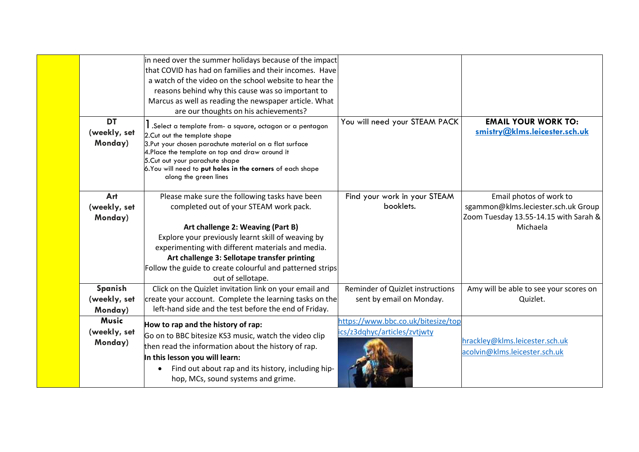|                                         | in need over the summer holidays because of the impact<br>that COVID has had on families and their incomes. Have<br>a watch of the video on the school website to hear the<br>reasons behind why this cause was so important to<br>Marcus as well as reading the newspaper article. What<br>are our thoughts on his achievements?                                          |                                                                    |                                                                                                                     |
|-----------------------------------------|----------------------------------------------------------------------------------------------------------------------------------------------------------------------------------------------------------------------------------------------------------------------------------------------------------------------------------------------------------------------------|--------------------------------------------------------------------|---------------------------------------------------------------------------------------------------------------------|
| <b>DT</b><br>(weekly, set<br>Monday)    | I .Select a template from- a square, octagon or a pentagon<br>2. Cut out the template shape<br>3.Put your chosen parachute material on a flat surface<br>4. Place the template on top and draw around it<br>5.Cut out your parachute shape<br>6. You will need to put holes in the corners of each shape<br>along the green lines                                          | You will need your STEAM PACK                                      | <b>EMAIL YOUR WORK TO:</b><br>smistry@klms.leicester.sch.uk                                                         |
| Art<br>(weekly, set<br>Monday)          | Please make sure the following tasks have been<br>completed out of your STEAM work pack.<br>Art challenge 2: Weaving (Part B)<br>Explore your previously learnt skill of weaving by<br>experimenting with different materials and media.<br>Art challenge 3: Sellotape transfer printing<br>Follow the guide to create colourful and patterned strips<br>out of sellotape. | Find your work in your STEAM<br>booklets.                          | Email photos of work to<br>sgammon@klms.leciester.sch.uk Group<br>Zoom Tuesday 13.55-14.15 with Sarah &<br>Michaela |
| Spanish<br>(weekly, set<br>Monday)      | Click on the Quizlet invitation link on your email and<br>create your account. Complete the learning tasks on the<br>left-hand side and the test before the end of Friday.                                                                                                                                                                                                 | Reminder of Quizlet instructions<br>sent by email on Monday.       | Amy will be able to see your scores on<br>Quizlet.                                                                  |
| <b>Music</b><br>(weekly, set<br>Monday) | How to rap and the history of rap:<br>Go on to BBC bitesize KS3 music, watch the video clip<br>then read the information about the history of rap.<br>In this lesson you will learn:<br>Find out about rap and its history, including hip-<br>hop, MCs, sound systems and grime.                                                                                           | https://www.bbc.co.uk/bitesize/top<br>ics/z3dqhyc/articles/zvtjwty | hrackley@klms.leicester.sch.uk<br>acolvin@klms.leicester.sch.uk                                                     |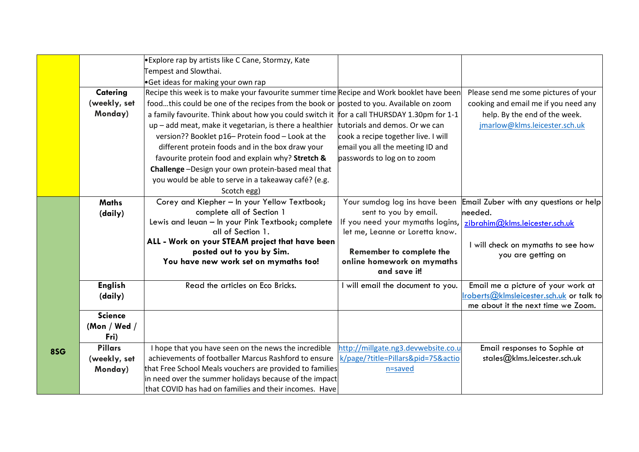|     |                      | • Explore rap by artists like C Cane, Stormzy, Kate                                        |                                            |                                          |
|-----|----------------------|--------------------------------------------------------------------------------------------|--------------------------------------------|------------------------------------------|
|     |                      | Tempest and Slowthai.                                                                      |                                            |                                          |
|     |                      | Get ideas for making your own rap                                                          |                                            |                                          |
|     | Catering             | Recipe this week is to make your favourite summer time Recipe and Work booklet have been   |                                            | Please send me some pictures of your     |
|     | (weekly, set         | foodthis could be one of the recipes from the book or posted to you. Available on zoom     |                                            | cooking and email me if you need any     |
|     | Monday)              | a family favourite. Think about how you could switch it for a call THURSDAY 1.30pm for 1-1 |                                            | help. By the end of the week.            |
|     |                      | up - add meat, make it vegetarian, is there a healthier                                    | tutorials and demos. Or we can             | jmarlow@klms.leicester.sch.uk            |
|     |                      | version?? Booklet p16- Protein food - Look at the                                          | cook a recipe together live. I will        |                                          |
|     |                      | different protein foods and in the box draw your                                           | email you all the meeting ID and           |                                          |
|     |                      | favourite protein food and explain why? Stretch &                                          | passwords to log on to zoom                |                                          |
|     |                      | Challenge -Design your own protein-based meal that                                         |                                            |                                          |
|     |                      | you would be able to serve in a takeaway café? (e.g.                                       |                                            |                                          |
|     |                      | Scotch egg)                                                                                |                                            |                                          |
|     | <b>Maths</b>         | Corey and Kiepher - In your Yellow Textbook;                                               | Your sumdog log ins have been              | Email Zuber with any questions or help   |
|     | (daily)              | complete all of Section 1                                                                  | sent to you by email.                      | needed.                                  |
|     |                      | Lewis and leuan - In your Pink Textbook; complete                                          | If you need your mymaths logins,           | zibrahim@klms.leicester.sch.uk           |
|     |                      | all of Section 1.                                                                          | let me, Leanne or Loretta know.            |                                          |
|     |                      | ALL - Work on your STEAM project that have been                                            |                                            | I will check on mymaths to see how       |
|     |                      | posted out to you by Sim.                                                                  | Remember to complete the                   | you are getting on                       |
|     |                      | You have new work set on mymaths too!                                                      | online homework on mymaths<br>and save it! |                                          |
|     |                      |                                                                                            |                                            |                                          |
|     | <b>English</b>       | Read the articles on Eco Bricks.                                                           | will email the document to you.            | Email me a picture of your work at       |
|     | (daily)              |                                                                                            |                                            | Iroberts@kImsleicester.sch.uk or talk to |
|     | <b>Science</b>       |                                                                                            |                                            | me about it the next time we Zoom.       |
|     |                      |                                                                                            |                                            |                                          |
|     | (Mon / Wed /<br>Fri) |                                                                                            |                                            |                                          |
|     | <b>Pillars</b>       | I hope that you have seen on the news the incredible                                       | http://millgate.ng3.devwebsite.co.u        | Email responses to Sophie at             |
| 8SG | (weekly, set         | achievements of footballer Marcus Rashford to ensure                                       | k/page/?title=Pillars&pid=75&actio         | stales@klms.leicester.sch.uk             |
|     | Monday)              | that Free School Meals vouchers are provided to families                                   | n=saved                                    |                                          |
|     |                      | in need over the summer holidays because of the impact                                     |                                            |                                          |
|     |                      | that COVID has had on families and their incomes. Have                                     |                                            |                                          |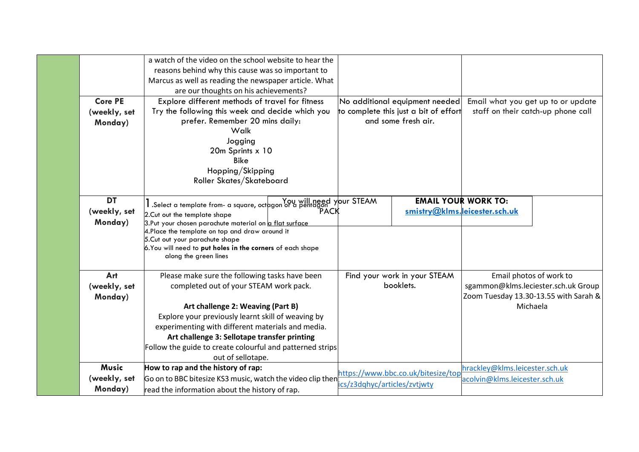|                | a watch of the video on the school website to hear the                                       |                                       |                                       |
|----------------|----------------------------------------------------------------------------------------------|---------------------------------------|---------------------------------------|
|                | reasons behind why this cause was so important to                                            |                                       |                                       |
|                | Marcus as well as reading the newspaper article. What                                        |                                       |                                       |
|                | are our thoughts on his achievements?                                                        |                                       |                                       |
| <b>Core PE</b> | Explore different methods of travel for fitness                                              | No additional equipment needed        | Email what you get up to or update    |
| (weekly, set   | Try the following this week and decide which you                                             | to complete this just a bit of effort | staff on their catch-up phone call    |
| Monday)        | prefer. Remember 20 mins daily:                                                              | and some fresh air.                   |                                       |
|                | Walk                                                                                         |                                       |                                       |
|                | Jogging                                                                                      |                                       |                                       |
|                | 20m Sprints x 10                                                                             |                                       |                                       |
|                | <b>Bike</b>                                                                                  |                                       |                                       |
|                | Hopping/Skipping                                                                             |                                       |                                       |
|                | Roller Skates/Skateboard                                                                     |                                       |                                       |
|                |                                                                                              |                                       |                                       |
| <b>DT</b>      | I Select a template from- a square, oct a population of a pentagon of a square of a pentagon | <b>EMAIL YOUR WORK TO:</b>            |                                       |
| (weekly, set   | PACK<br>2. Cut out the template shape                                                        | smistry@klms.leicester.sch.uk         |                                       |
| Monday)        | 3.Put your chosen parachute material on a flat surface                                       |                                       |                                       |
|                | 4. Place the template on top and draw around it<br>5. Cut out your parachute shape           |                                       |                                       |
|                | 6. You will need to put holes in the corners of each shape                                   |                                       |                                       |
|                | along the green lines                                                                        |                                       |                                       |
|                |                                                                                              |                                       |                                       |
| Art            | Please make sure the following tasks have been                                               | Find your work in your STEAM          | Email photos of work to               |
| (weekly, set   | completed out of your STEAM work pack.                                                       | booklets.                             | sgammon@klms.leciester.sch.uk Group   |
| Monday)        |                                                                                              |                                       | Zoom Tuesday 13.30-13.55 with Sarah & |
|                | Art challenge 2: Weaving (Part B)                                                            |                                       | Michaela                              |
|                | Explore your previously learnt skill of weaving by                                           |                                       |                                       |
|                | experimenting with different materials and media.                                            |                                       |                                       |
|                | Art challenge 3: Sellotape transfer printing                                                 |                                       |                                       |
|                | Follow the guide to create colourful and patterned strips                                    |                                       |                                       |
|                | out of sellotape.                                                                            |                                       |                                       |
| <b>Music</b>   | How to rap and the history of rap:                                                           | https://www.bbc.co.uk/bitesize/top    | hrackley@klms.leicester.sch.uk        |
| (weekly, set   | Go on to BBC bitesize KS3 music, watch the video clip then                                   | ics/z3dqhyc/articles/zvtjwty          | acolvin@klms.leicester.sch.uk         |
| Monday)        | read the information about the history of rap.                                               |                                       |                                       |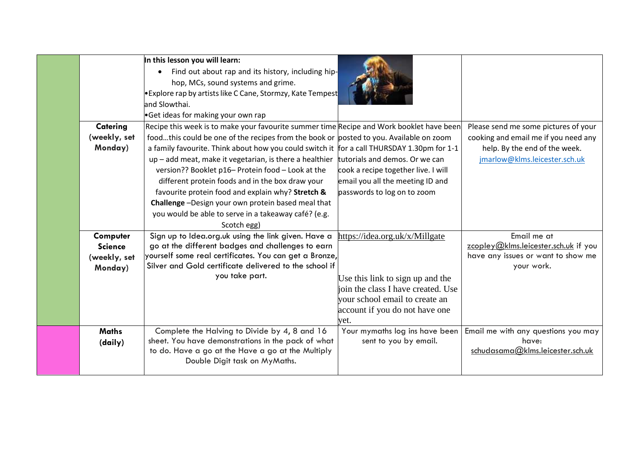| Catering<br>(weekly, set<br>Monday)                                              | In this lesson you will learn:<br>Find out about rap and its history, including hip-<br>hop, MCs, sound systems and grime.<br>Explore rap by artists like C Cane, Stormzy, Kate Tempest<br>land Slowthai.<br>Get ideas for making your own rap<br>Recipe this week is to make your favourite summer time Recipe and Work booklet have been<br>foodthis could be one of the recipes from the book or posted to you. Available on zoom<br>a family favourite. Think about how you could switch it for a call THURSDAY 1.30pm for 1-1<br>up - add meat, make it vegetarian, is there a healthier<br>version?? Booklet p16- Protein food - Look at the<br>different protein foods and in the box draw your<br>favourite protein food and explain why? Stretch &<br>Challenge-Design your own protein based meal that<br>you would be able to serve in a takeaway café? (e.g. | tutorials and demos. Or we can<br>cook a recipe together live. I will<br>email you all the meeting ID and<br>passwords to log on to zoom                                                                                                        | Please send me some pictures of your<br>cooking and email me if you need any<br>help. By the end of the week.<br>jmarlow@klms.leicester.sch.uk                                              |
|----------------------------------------------------------------------------------|--------------------------------------------------------------------------------------------------------------------------------------------------------------------------------------------------------------------------------------------------------------------------------------------------------------------------------------------------------------------------------------------------------------------------------------------------------------------------------------------------------------------------------------------------------------------------------------------------------------------------------------------------------------------------------------------------------------------------------------------------------------------------------------------------------------------------------------------------------------------------|-------------------------------------------------------------------------------------------------------------------------------------------------------------------------------------------------------------------------------------------------|---------------------------------------------------------------------------------------------------------------------------------------------------------------------------------------------|
| Computer<br><b>Science</b><br>(weekly, set<br>Monday)<br><b>Maths</b><br>(daily) | Scotch egg)<br>Sign up to Idea.org.uk using the link given. Have a<br>go at the different badges and challenges to earn<br>yourself some real certificates. You can get a Bronze,<br>Silver and Gold certificate delivered to the school if<br>you take part.<br>Complete the Halving to Divide by 4, 8 and 16<br>sheet. You have demonstrations in the pack of what<br>to do. Have a go at the Have a go at the Multiply<br>Double Digit task on MyMaths.                                                                                                                                                                                                                                                                                                                                                                                                               | https://idea.org.uk/x/Millgate<br>Use this link to sign up and the<br>join the class I have created. Use<br>vour school email to create an<br>account if you do not have one<br>yet.<br>Your mymaths log ins have been<br>sent to you by email. | Email me at<br>zcopley@klms.leicester.sch.uk if you<br>have any issues or want to show me<br>your work.<br>Email me with any questions you may<br>have:<br>schudasama@klms.leicester.sch.uk |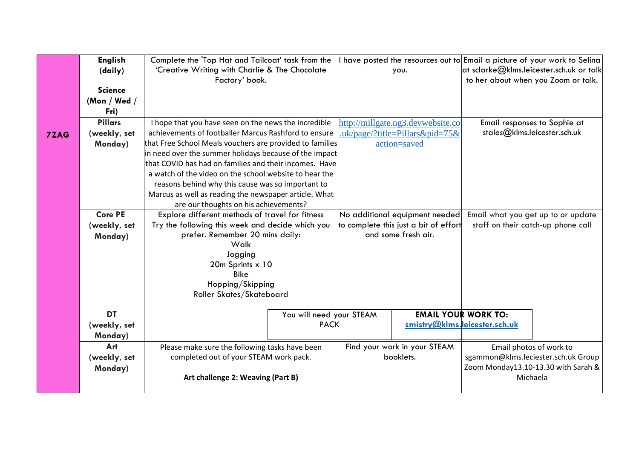|             | <b>English</b>                                                         |                                                                                          | Complete the 'Top Hat and Tailcoat' task from the                                                                       |                                                                             |                                   | I have posted the resources out to Email a picture of your work to Selina |  |  |
|-------------|------------------------------------------------------------------------|------------------------------------------------------------------------------------------|-------------------------------------------------------------------------------------------------------------------------|-----------------------------------------------------------------------------|-----------------------------------|---------------------------------------------------------------------------|--|--|
|             | (daily)                                                                | 'Creative Writing with Charlie & The Chocolate                                           |                                                                                                                         |                                                                             | you.                              | at sclarke $@$ klms.leicester.sch.uk or talk                              |  |  |
|             |                                                                        | Factory' book.                                                                           |                                                                                                                         |                                                                             |                                   | to her about when you Zoom or talk.                                       |  |  |
|             | <b>Science</b>                                                         |                                                                                          |                                                                                                                         |                                                                             |                                   |                                                                           |  |  |
|             | (Mon / Wed /                                                           |                                                                                          |                                                                                                                         |                                                                             |                                   |                                                                           |  |  |
|             | Fri)                                                                   |                                                                                          |                                                                                                                         |                                                                             |                                   |                                                                           |  |  |
|             | <b>Pillars</b><br>I hope that you have seen on the news the incredible |                                                                                          |                                                                                                                         |                                                                             | http://millgate.ng3.devwebsite.co | Email responses to Sophie at                                              |  |  |
| <b>7ZAG</b> | (weekly, set                                                           |                                                                                          | achievements of footballer Marcus Rashford to ensure<br>stales@klms.leicester.sch.uk<br>.uk/page/?title=Pillars&pid=75& |                                                                             |                                   |                                                                           |  |  |
|             | Monday)                                                                | that Free School Meals vouchers are provided to families                                 |                                                                                                                         |                                                                             | action=saved                      |                                                                           |  |  |
|             |                                                                        | in need over the summer holidays because of the impact                                   |                                                                                                                         |                                                                             |                                   |                                                                           |  |  |
|             |                                                                        | that COVID has had on families and their incomes. Have                                   |                                                                                                                         |                                                                             |                                   |                                                                           |  |  |
|             |                                                                        | a watch of the video on the school website to hear the                                   |                                                                                                                         |                                                                             |                                   |                                                                           |  |  |
|             |                                                                        | reasons behind why this cause was so important to                                        |                                                                                                                         |                                                                             |                                   |                                                                           |  |  |
|             |                                                                        | Marcus as well as reading the newspaper article. What                                    |                                                                                                                         |                                                                             |                                   |                                                                           |  |  |
|             |                                                                        | are our thoughts on his achievements?                                                    |                                                                                                                         |                                                                             |                                   |                                                                           |  |  |
|             | <b>Core PE</b>                                                         | Explore different methods of travel for fitness                                          |                                                                                                                         |                                                                             | No additional equipment needed    | Email what you get up to or update                                        |  |  |
|             | (weekly, set                                                           | Try the following this week and decide which you                                         |                                                                                                                         | to complete this just a bit of effort<br>staff on their catch-up phone call |                                   |                                                                           |  |  |
|             | Monday)                                                                | prefer. Remember 20 mins daily:                                                          |                                                                                                                         |                                                                             | and some fresh air.               |                                                                           |  |  |
|             |                                                                        | Walk                                                                                     |                                                                                                                         |                                                                             |                                   |                                                                           |  |  |
|             |                                                                        | Jogging<br>20m Sprints x 10                                                              |                                                                                                                         |                                                                             |                                   |                                                                           |  |  |
|             |                                                                        | <b>Bike</b>                                                                              |                                                                                                                         |                                                                             |                                   |                                                                           |  |  |
|             |                                                                        | Hopping/Skipping                                                                         |                                                                                                                         |                                                                             |                                   |                                                                           |  |  |
|             |                                                                        | Roller Skates/Skateboard                                                                 |                                                                                                                         |                                                                             |                                   |                                                                           |  |  |
|             |                                                                        |                                                                                          |                                                                                                                         |                                                                             |                                   |                                                                           |  |  |
|             | <b>DT</b>                                                              |                                                                                          | You will need your STEAM                                                                                                |                                                                             |                                   | <b>EMAIL YOUR WORK TO:</b>                                                |  |  |
|             | (weekly, set                                                           | <b>PACK</b>                                                                              |                                                                                                                         |                                                                             |                                   | smistry@klms.leicester.sch.uk                                             |  |  |
|             | Monday)                                                                |                                                                                          |                                                                                                                         |                                                                             |                                   |                                                                           |  |  |
|             | Art                                                                    | Please make sure the following tasks have been<br>completed out of your STEAM work pack. |                                                                                                                         | Find your work in your STEAM                                                |                                   | Email photos of work to                                                   |  |  |
|             | (weekly, set                                                           |                                                                                          |                                                                                                                         | booklets.                                                                   |                                   | sgammon@klms.leciester.sch.uk Group                                       |  |  |
|             | Monday)                                                                |                                                                                          |                                                                                                                         |                                                                             |                                   | Zoom Monday13.10-13.30 with Sarah &                                       |  |  |
|             |                                                                        | Art challenge 2: Weaving (Part B)                                                        |                                                                                                                         |                                                                             |                                   | Michaela                                                                  |  |  |
|             |                                                                        |                                                                                          |                                                                                                                         |                                                                             |                                   |                                                                           |  |  |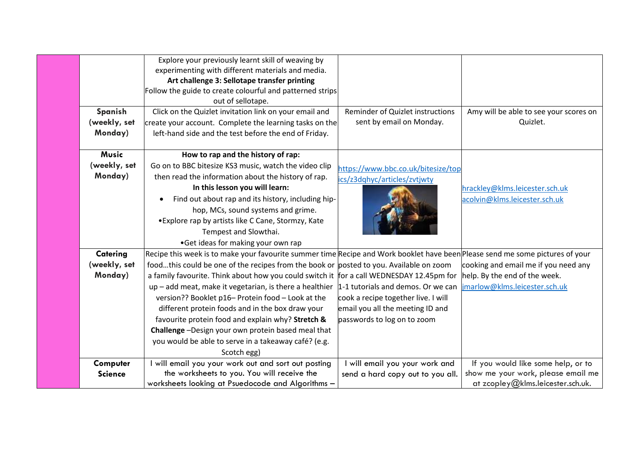|                | Explore your previously learnt skill of weaving by                                                                            |                                     |                                        |
|----------------|-------------------------------------------------------------------------------------------------------------------------------|-------------------------------------|----------------------------------------|
|                | experimenting with different materials and media.                                                                             |                                     |                                        |
|                | Art challenge 3: Sellotape transfer printing                                                                                  |                                     |                                        |
|                | Follow the guide to create colourful and patterned strips                                                                     |                                     |                                        |
|                | out of sellotape.                                                                                                             |                                     |                                        |
| Spanish        | Click on the Quizlet invitation link on your email and                                                                        | Reminder of Quizlet instructions    | Amy will be able to see your scores on |
| (weekly, set   | create your account. Complete the learning tasks on the                                                                       | sent by email on Monday.            | Quizlet.                               |
| Monday)        | left-hand side and the test before the end of Friday.                                                                         |                                     |                                        |
|                |                                                                                                                               |                                     |                                        |
| <b>Music</b>   | How to rap and the history of rap:                                                                                            |                                     |                                        |
| (weekly, set   | Go on to BBC bitesize KS3 music, watch the video clip                                                                         | https://www.bbc.co.uk/bitesize/top  |                                        |
| Monday)        | then read the information about the history of rap.                                                                           | ics/z3dqhyc/articles/zvtjwty        |                                        |
|                | In this lesson you will learn:                                                                                                |                                     | hrackley@klms.leicester.sch.uk         |
|                | Find out about rap and its history, including hip-                                                                            |                                     | acolvin@klms.leicester.sch.uk          |
|                | hop, MCs, sound systems and grime.                                                                                            |                                     |                                        |
|                | • Explore rap by artists like C Cane, Stormzy, Kate                                                                           |                                     |                                        |
|                | Tempest and Slowthai.                                                                                                         |                                     |                                        |
|                | •Get ideas for making your own rap                                                                                            |                                     |                                        |
| Catering       | Recipe this week is to make your favourite summer time Recipe and Work booklet have been Please send me some pictures of your |                                     |                                        |
| (weekly, set   | foodthis could be one of the recipes from the book or posted to you. Available on zoom                                        |                                     | cooking and email me if you need any   |
| Monday)        | a family favourite. Think about how you could switch it for a call WEDNESDAY 12.45pm for                                      |                                     | help. By the end of the week.          |
|                | $up$ – add meat, make it vegetarian, is there a healthier $\vert 1$ -1 tutorials and demos. Or we can                         |                                     | jmarlow@klms.leicester.sch.uk          |
|                | version?? Booklet p16- Protein food - Look at the                                                                             | cook a recipe together live. I will |                                        |
|                | different protein foods and in the box draw your                                                                              | email you all the meeting ID and    |                                        |
|                | favourite protein food and explain why? Stretch &                                                                             | passwords to log on to zoom         |                                        |
|                | Challenge-Design your own protein based meal that                                                                             |                                     |                                        |
|                | you would be able to serve in a takeaway café? (e.g.                                                                          |                                     |                                        |
|                | Scotch egg)                                                                                                                   |                                     |                                        |
| Computer       | will email you your work out and sort out posting                                                                             | will email you your work and        | If you would like some help, or to     |
| <b>Science</b> | the worksheets to you. You will receive the                                                                                   | send a hard copy out to you all.    | show me your work, please email me     |
|                | worksheets looking at Psuedocode and Algorithms -                                                                             |                                     | at zcopley@klms.leicester.sch.uk.      |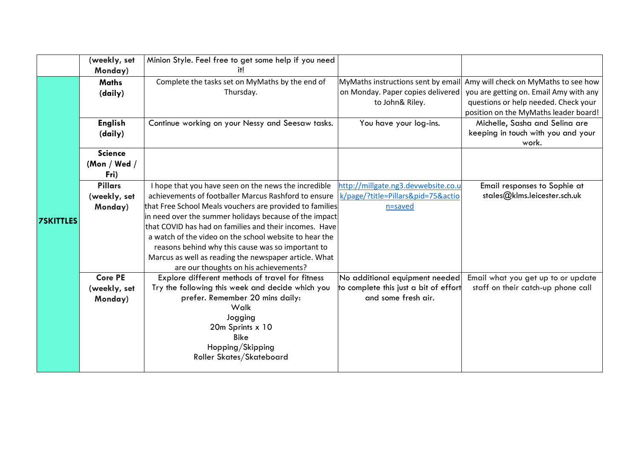|                  | (weekly, set   | Minion Style. Feel free to get some help if you need     |                                       |                                        |
|------------------|----------------|----------------------------------------------------------|---------------------------------------|----------------------------------------|
|                  | Monday)        | it!                                                      |                                       |                                        |
|                  | <b>Maths</b>   | Complete the tasks set on MyMaths by the end of          | MyMaths instructions sent by email    | Amy will check on MyMaths to see how   |
|                  | (daily)        | Thursday.                                                | on Monday. Paper copies delivered     | you are getting on. Email Amy with any |
|                  |                |                                                          | to John& Riley.                       | questions or help needed. Check your   |
|                  |                |                                                          |                                       | position on the MyMaths leader board!  |
|                  | <b>English</b> | Continue working on your Nessy and Seesaw tasks.         | You have your log-ins.                | Michelle, Sasha and Selina are         |
|                  | (daily)        |                                                          |                                       | keeping in touch with you and your     |
|                  |                |                                                          |                                       | work.                                  |
|                  | <b>Science</b> |                                                          |                                       |                                        |
|                  | (Mon / Wed /   |                                                          |                                       |                                        |
|                  | Fri)           |                                                          |                                       |                                        |
|                  | <b>Pillars</b> | I hope that you have seen on the news the incredible     | http://millgate.ng3.devwebsite.co.u   | Email responses to Sophie at           |
|                  | (weekly, set   | achievements of footballer Marcus Rashford to ensure     | k/page/?title=Pillars&pid=75&actio    | stales@klms.leicester.sch.uk           |
|                  | Monday)        | that Free School Meals vouchers are provided to families | n=saved                               |                                        |
| <b>7SKITTLES</b> |                | in need over the summer holidays because of the impact   |                                       |                                        |
|                  |                | that COVID has had on families and their incomes. Have   |                                       |                                        |
|                  |                | a watch of the video on the school website to hear the   |                                       |                                        |
|                  |                | reasons behind why this cause was so important to        |                                       |                                        |
|                  |                | Marcus as well as reading the newspaper article. What    |                                       |                                        |
|                  |                | are our thoughts on his achievements?                    |                                       |                                        |
|                  | <b>Core PE</b> | Explore different methods of travel for fitness          | No additional equipment needed        | Email what you get up to or update     |
|                  | (weekly, set   | Try the following this week and decide which you         | to complete this just a bit of effort | staff on their catch-up phone call     |
|                  | Monday)        | prefer. Remember 20 mins daily:<br>Walk                  | and some fresh air.                   |                                        |
|                  |                | Jogging                                                  |                                       |                                        |
|                  |                | 20m Sprints x 10                                         |                                       |                                        |
|                  |                | <b>Bike</b>                                              |                                       |                                        |
|                  |                | Hopping/Skipping                                         |                                       |                                        |
|                  |                | Roller Skates/Skateboard                                 |                                       |                                        |
|                  |                |                                                          |                                       |                                        |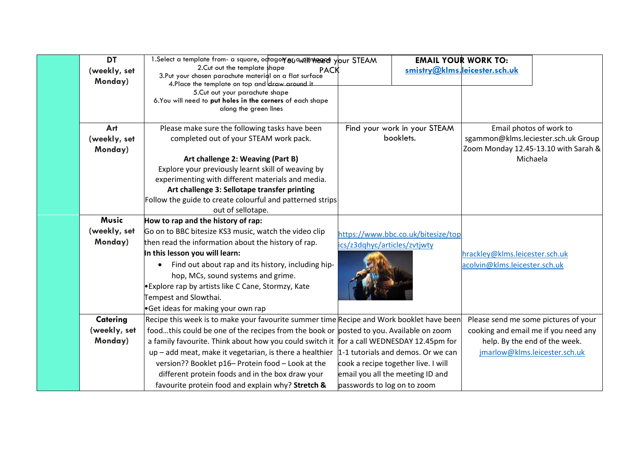| <b>DT</b><br>(weekly, set<br>Monday)    | 1.Select a template from- a square, odtagor 80 auf # htered your STEAM<br>2. Cut out the template shape<br><b>PACK</b><br>3. Put your chosen parachute material on a flat surface<br>4. Place the template on top and draw around it<br>5. Cut out your parachute shape<br>6. You will need to put holes in the corners of each shape<br>along the green lines                                                                                                                                                                                            |                                                                    | <b>EMAIL YOUR WORK TO:</b><br>smistry@klms.leicester.sch.uk             |                                                                                                                    |                                                                       |
|-----------------------------------------|-----------------------------------------------------------------------------------------------------------------------------------------------------------------------------------------------------------------------------------------------------------------------------------------------------------------------------------------------------------------------------------------------------------------------------------------------------------------------------------------------------------------------------------------------------------|--------------------------------------------------------------------|-------------------------------------------------------------------------|--------------------------------------------------------------------------------------------------------------------|-----------------------------------------------------------------------|
| Art<br>(weekly, set<br>Monday)          | Please make sure the following tasks have been<br>completed out of your STEAM work pack.<br>Art challenge 2: Weaving (Part B)<br>Explore your previously learnt skill of weaving by<br>experimenting with different materials and media.<br>Art challenge 3: Sellotape transfer printing<br>Follow the guide to create colourful and patterned strips<br>out of sellotape.                                                                                                                                                                                |                                                                    | Find your work in your STEAM<br>booklets.                               | Email photos of work to<br>sgammon@klms.leciester.sch.uk Group<br>Zoom Monday 12.45-13.10 with Sarah &<br>Michaela |                                                                       |
| <b>Music</b><br>(weekly, set<br>Monday) | How to rap and the history of rap:<br>Go on to BBC bitesize KS3 music, watch the video clip<br>then read the information about the history of rap.<br>In this lesson you will learn:<br>Find out about rap and its history, including hip-<br>hop, MCs, sound systems and grime.<br>• Explore rap by artists like C Cane, Stormzy, Kate<br>Tempest and Slowthai.<br>•Get ideas for making your own rap                                                                                                                                                    | https://www.bbc.co.uk/bitesize/top<br>ics/z3dqhyc/articles/zvtjwty |                                                                         | hrackley@klms.leicester.sch.uk<br>acolvin@klms.leicester.sch.uk                                                    |                                                                       |
| Catering<br>(weekly, set<br>Monday)     | Recipe this week is to make your favourite summer time Recipe and Work booklet have been<br>foodthis could be one of the recipes from the book or posted to you. Available on zoom<br>a family favourite. Think about how you could switch it for a call WEDNESDAY 12.45pm for<br>up – add meat, make it vegetarian, is there a healthier $\vert 1\text{-}1$ tutorials and demos. Or we can<br>version?? Booklet p16- Protein food - Look at the<br>different protein foods and in the box draw your<br>favourite protein food and explain why? Stretch & | passwords to log on to zoom                                        | cook a recipe together live. I will<br>email you all the meeting ID and | Please send me some pictures of your<br>help. By the end of the week.                                              | cooking and email me if you need any<br>jmarlow@klms.leicester.sch.uk |